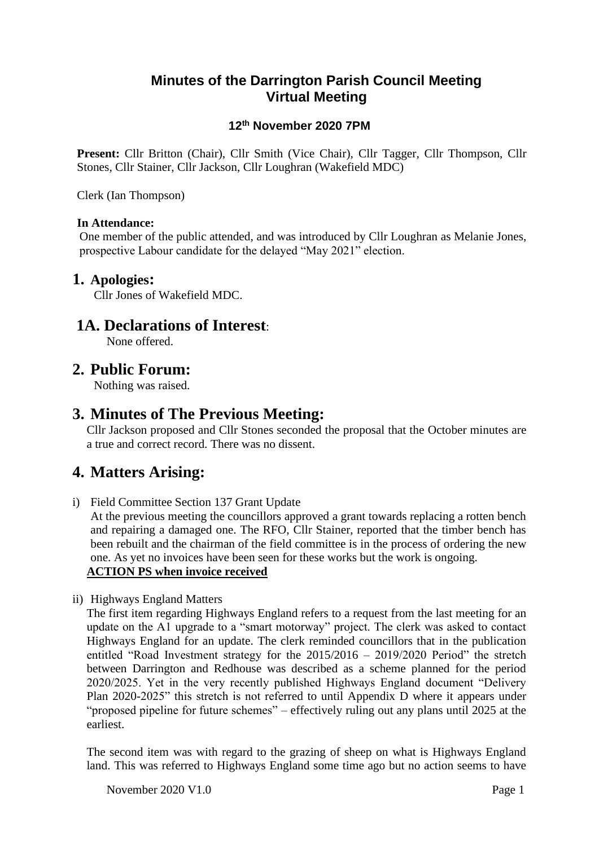### **Minutes of the Darrington Parish Council Meeting Virtual Meeting**

### **12th November 2020 7PM**

**Present:** Cllr Britton (Chair), Cllr Smith (Vice Chair), Cllr Tagger, Cllr Thompson, Cllr Stones, Cllr Stainer, Cllr Jackson, Cllr Loughran (Wakefield MDC)

Clerk (Ian Thompson)

#### **In Attendance:**

One member of the public attended, and was introduced by Cllr Loughran as Melanie Jones, prospective Labour candidate for the delayed "May 2021" election.

#### **1. Apologies:**

Cllr Jones of Wakefield MDC.

### **1A. Declarations of Interest**:

None offered.

### **2. Public Forum:**

Nothing was raised.

### **3. Minutes of The Previous Meeting:**

Cllr Jackson proposed and Cllr Stones seconded the proposal that the October minutes are a true and correct record. There was no dissent.

## **4. Matters Arising:**

i) Field Committee Section 137 Grant Update

At the previous meeting the councillors approved a grant towards replacing a rotten bench and repairing a damaged one. The RFO, Cllr Stainer, reported that the timber bench has been rebuilt and the chairman of the field committee is in the process of ordering the new one. As yet no invoices have been seen for these works but the work is ongoing. **ACTION PS when invoice received**

ii) Highways England Matters

The first item regarding Highways England refers to a request from the last meeting for an update on the A1 upgrade to a "smart motorway" project. The clerk was asked to contact Highways England for an update. The clerk reminded councillors that in the publication entitled "Road Investment strategy for the 2015/2016 – 2019/2020 Period" the stretch between Darrington and Redhouse was described as a scheme planned for the period 2020/2025. Yet in the very recently published Highways England document "Delivery Plan 2020-2025" this stretch is not referred to until Appendix D where it appears under "proposed pipeline for future schemes" – effectively ruling out any plans until 2025 at the earliest.

The second item was with regard to the grazing of sheep on what is Highways England land. This was referred to Highways England some time ago but no action seems to have

November 2020 V1.0 Page 1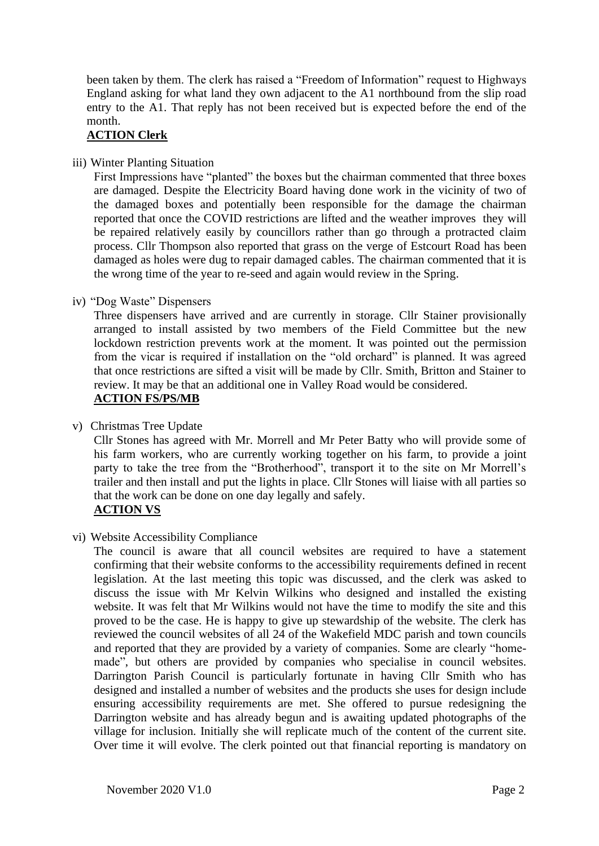been taken by them. The clerk has raised a "Freedom of Information" request to Highways England asking for what land they own adjacent to the A1 northbound from the slip road entry to the A1. That reply has not been received but is expected before the end of the month.

#### **ACTION Clerk**

iii) Winter Planting Situation

First Impressions have "planted" the boxes but the chairman commented that three boxes are damaged. Despite the Electricity Board having done work in the vicinity of two of the damaged boxes and potentially been responsible for the damage the chairman reported that once the COVID restrictions are lifted and the weather improves they will be repaired relatively easily by councillors rather than go through a protracted claim process. Cllr Thompson also reported that grass on the verge of Estcourt Road has been damaged as holes were dug to repair damaged cables. The chairman commented that it is the wrong time of the year to re-seed and again would review in the Spring.

iv) "Dog Waste" Dispensers

Three dispensers have arrived and are currently in storage. Cllr Stainer provisionally arranged to install assisted by two members of the Field Committee but the new lockdown restriction prevents work at the moment. It was pointed out the permission from the vicar is required if installation on the "old orchard" is planned. It was agreed that once restrictions are sifted a visit will be made by Cllr. Smith, Britton and Stainer to review. It may be that an additional one in Valley Road would be considered. **ACTION FS/PS/MB**

v) Christmas Tree Update

Cllr Stones has agreed with Mr. Morrell and Mr Peter Batty who will provide some of his farm workers, who are currently working together on his farm, to provide a joint party to take the tree from the "Brotherhood", transport it to the site on Mr Morrell's trailer and then install and put the lights in place. Cllr Stones will liaise with all parties so that the work can be done on one day legally and safely.

### **ACTION VS**

vi) Website Accessibility Compliance

The council is aware that all council websites are required to have a statement confirming that their website conforms to the accessibility requirements defined in recent legislation. At the last meeting this topic was discussed, and the clerk was asked to discuss the issue with Mr Kelvin Wilkins who designed and installed the existing website. It was felt that Mr Wilkins would not have the time to modify the site and this proved to be the case. He is happy to give up stewardship of the website. The clerk has reviewed the council websites of all 24 of the Wakefield MDC parish and town councils and reported that they are provided by a variety of companies. Some are clearly "homemade", but others are provided by companies who specialise in council websites. Darrington Parish Council is particularly fortunate in having Cllr Smith who has designed and installed a number of websites and the products she uses for design include ensuring accessibility requirements are met. She offered to pursue redesigning the Darrington website and has already begun and is awaiting updated photographs of the village for inclusion. Initially she will replicate much of the content of the current site. Over time it will evolve. The clerk pointed out that financial reporting is mandatory on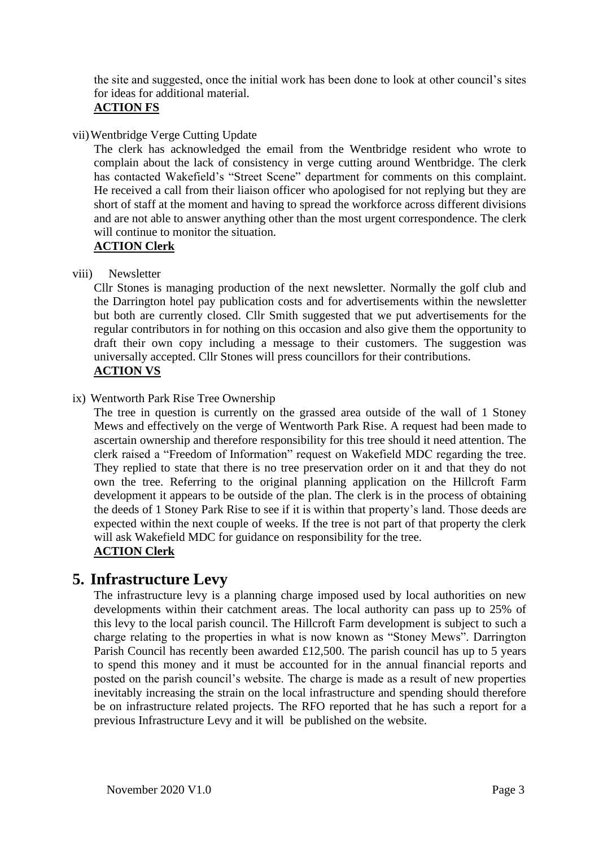the site and suggested, once the initial work has been done to look at other council's sites for ideas for additional material.

### **ACTION FS**

vii)Wentbridge Verge Cutting Update

The clerk has acknowledged the email from the Wentbridge resident who wrote to complain about the lack of consistency in verge cutting around Wentbridge. The clerk has contacted Wakefield's "Street Scene" department for comments on this complaint. He received a call from their liaison officer who apologised for not replying but they are short of staff at the moment and having to spread the workforce across different divisions and are not able to answer anything other than the most urgent correspondence. The clerk will continue to monitor the situation.

#### **ACTION Clerk**

viii) Newsletter

Cllr Stones is managing production of the next newsletter. Normally the golf club and the Darrington hotel pay publication costs and for advertisements within the newsletter but both are currently closed. Cllr Smith suggested that we put advertisements for the regular contributors in for nothing on this occasion and also give them the opportunity to draft their own copy including a message to their customers. The suggestion was universally accepted. Cllr Stones will press councillors for their contributions.

## **ACTION VS**

ix) Wentworth Park Rise Tree Ownership

The tree in question is currently on the grassed area outside of the wall of 1 Stoney Mews and effectively on the verge of Wentworth Park Rise. A request had been made to ascertain ownership and therefore responsibility for this tree should it need attention. The clerk raised a "Freedom of Information" request on Wakefield MDC regarding the tree. They replied to state that there is no tree preservation order on it and that they do not own the tree. Referring to the original planning application on the Hillcroft Farm development it appears to be outside of the plan. The clerk is in the process of obtaining the deeds of 1 Stoney Park Rise to see if it is within that property's land. Those deeds are expected within the next couple of weeks. If the tree is not part of that property the clerk will ask Wakefield MDC for guidance on responsibility for the tree. **ACTION Clerk**

## **5. Infrastructure Levy**

The infrastructure levy is a planning charge imposed used by local authorities on new developments within their catchment areas. The local authority can pass up to 25% of this levy to the local parish council. The Hillcroft Farm development is subject to such a charge relating to the properties in what is now known as "Stoney Mews". Darrington Parish Council has recently been awarded £12,500. The parish council has up to 5 years to spend this money and it must be accounted for in the annual financial reports and posted on the parish council's website. The charge is made as a result of new properties inevitably increasing the strain on the local infrastructure and spending should therefore be on infrastructure related projects. The RFO reported that he has such a report for a previous Infrastructure Levy and it will be published on the website.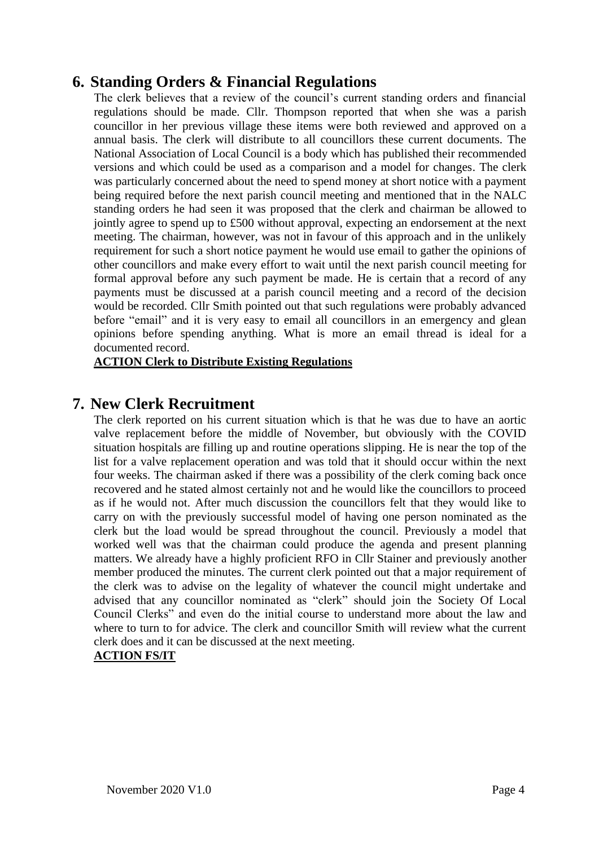## **6. Standing Orders & Financial Regulations**

The clerk believes that a review of the council's current standing orders and financial regulations should be made. Cllr. Thompson reported that when she was a parish councillor in her previous village these items were both reviewed and approved on a annual basis. The clerk will distribute to all councillors these current documents. The National Association of Local Council is a body which has published their recommended versions and which could be used as a comparison and a model for changes. The clerk was particularly concerned about the need to spend money at short notice with a payment being required before the next parish council meeting and mentioned that in the NALC standing orders he had seen it was proposed that the clerk and chairman be allowed to jointly agree to spend up to £500 without approval, expecting an endorsement at the next meeting. The chairman, however, was not in favour of this approach and in the unlikely requirement for such a short notice payment he would use email to gather the opinions of other councillors and make every effort to wait until the next parish council meeting for formal approval before any such payment be made. He is certain that a record of any payments must be discussed at a parish council meeting and a record of the decision would be recorded. Cllr Smith pointed out that such regulations were probably advanced before "email" and it is very easy to email all councillors in an emergency and glean opinions before spending anything. What is more an email thread is ideal for a documented record.

**ACTION Clerk to Distribute Existing Regulations**

## **7. New Clerk Recruitment**

The clerk reported on his current situation which is that he was due to have an aortic valve replacement before the middle of November, but obviously with the COVID situation hospitals are filling up and routine operations slipping. He is near the top of the list for a valve replacement operation and was told that it should occur within the next four weeks. The chairman asked if there was a possibility of the clerk coming back once recovered and he stated almost certainly not and he would like the councillors to proceed as if he would not. After much discussion the councillors felt that they would like to carry on with the previously successful model of having one person nominated as the clerk but the load would be spread throughout the council. Previously a model that worked well was that the chairman could produce the agenda and present planning matters. We already have a highly proficient RFO in Cllr Stainer and previously another member produced the minutes. The current clerk pointed out that a major requirement of the clerk was to advise on the legality of whatever the council might undertake and advised that any councillor nominated as "clerk" should join the Society Of Local Council Clerks" and even do the initial course to understand more about the law and where to turn to for advice. The clerk and councillor Smith will review what the current clerk does and it can be discussed at the next meeting.

### **ACTION FS/IT**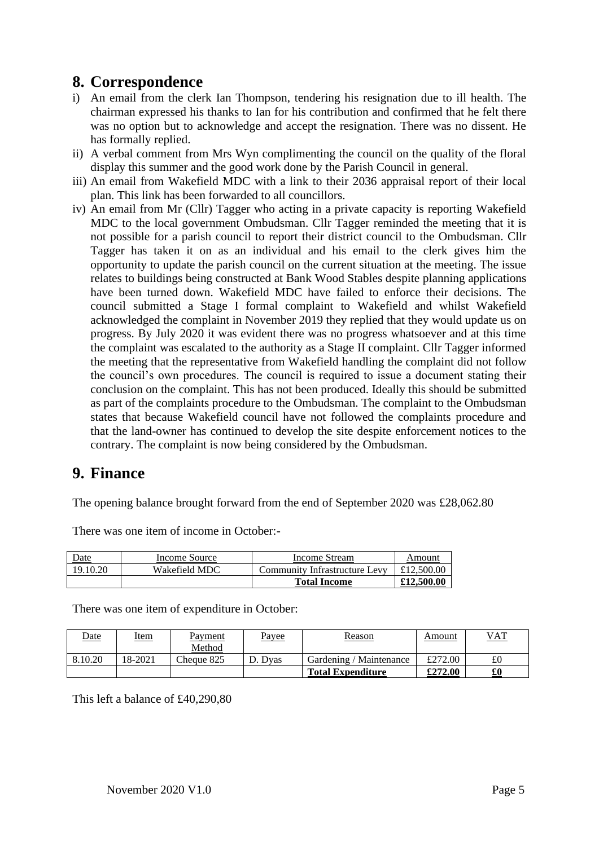## **8. Correspondence**

- i) An email from the clerk Ian Thompson, tendering his resignation due to ill health. The chairman expressed his thanks to Ian for his contribution and confirmed that he felt there was no option but to acknowledge and accept the resignation. There was no dissent. He has formally replied.
- ii) A verbal comment from Mrs Wyn complimenting the council on the quality of the floral display this summer and the good work done by the Parish Council in general.
- iii) An email from Wakefield MDC with a link to their 2036 appraisal report of their local plan. This link has been forwarded to all councillors.
- iv) An email from Mr (Cllr) Tagger who acting in a private capacity is reporting Wakefield MDC to the local government Ombudsman. Cllr Tagger reminded the meeting that it is not possible for a parish council to report their district council to the Ombudsman. Cllr Tagger has taken it on as an individual and his email to the clerk gives him the opportunity to update the parish council on the current situation at the meeting. The issue relates to buildings being constructed at Bank Wood Stables despite planning applications have been turned down. Wakefield MDC have failed to enforce their decisions. The council submitted a Stage I formal complaint to Wakefield and whilst Wakefield acknowledged the complaint in November 2019 they replied that they would update us on progress. By July 2020 it was evident there was no progress whatsoever and at this time the complaint was escalated to the authority as a Stage II complaint. Cllr Tagger informed the meeting that the representative from Wakefield handling the complaint did not follow the council's own procedures. The council is required to issue a document stating their conclusion on the complaint. This has not been produced. Ideally this should be submitted as part of the complaints procedure to the Ombudsman. The complaint to the Ombudsman states that because Wakefield council have not followed the complaints procedure and that the land-owner has continued to develop the site despite enforcement notices to the contrary. The complaint is now being considered by the Ombudsman.

## **9. Finance**

The opening balance brought forward from the end of September 2020 was £28,062.80

| Date     | Income Source | Income Stream                 | Amount     |
|----------|---------------|-------------------------------|------------|
| 19.10.20 | Wakefield MDC | Community Infrastructure Levy | £12,500.00 |
|          |               | <b>Total Income</b>           | £12,500.00 |

There was one item of income in October:-

There was one item of expenditure in October:

| <u>Date</u> | <u>Item</u> | <u>Payment</u> | <u>Payee</u> | Reason                   | Amount  | <u>VAT</u> |
|-------------|-------------|----------------|--------------|--------------------------|---------|------------|
|             |             | Method         |              |                          |         |            |
| 8.10.20     | 18-2021     | Cheque 825     | D. Dvas      | Gardening / Maintenance  | £272.00 | £0         |
|             |             |                |              | <b>Total Expenditure</b> | £272.00 | £0         |

This left a balance of £40,290,80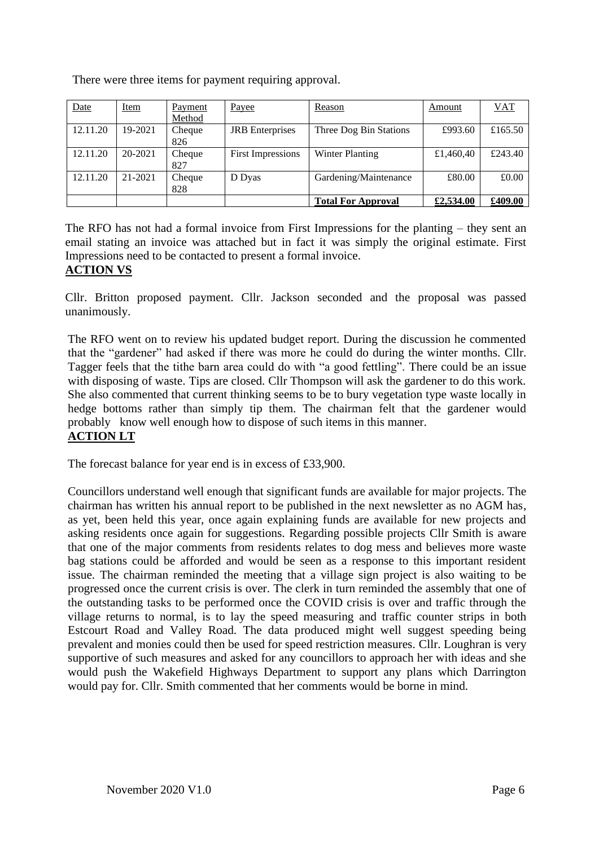There were three items for payment requiring approval.

| Date     | <b>Item</b> | Payment<br>Method | Payee                    | Reason                    | Amount    | <b>VAT</b> |
|----------|-------------|-------------------|--------------------------|---------------------------|-----------|------------|
| 12.11.20 | 19-2021     | Cheque<br>826     | <b>JRB</b> Enterprises   | Three Dog Bin Stations    | £993.60   | £165.50    |
| 12.11.20 | $20 - 2021$ | Cheque<br>827     | <b>First Impressions</b> | <b>Winter Planting</b>    | £1,460,40 | £243.40    |
| 12.11.20 | 21-2021     | Cheque<br>828     | D Dyas                   | Gardening/Maintenance     | £80.00    | £0.00      |
|          |             |                   |                          | <b>Total For Approval</b> | £2,534.00 | £409.00    |

The RFO has not had a formal invoice from First Impressions for the planting – they sent an email stating an invoice was attached but in fact it was simply the original estimate. First Impressions need to be contacted to present a formal invoice.

### **ACTION VS**

Cllr. Britton proposed payment. Cllr. Jackson seconded and the proposal was passed unanimously.

The RFO went on to review his updated budget report. During the discussion he commented that the "gardener" had asked if there was more he could do during the winter months. Cllr. Tagger feels that the tithe barn area could do with "a good fettling". There could be an issue with disposing of waste. Tips are closed. Cllr Thompson will ask the gardener to do this work. She also commented that current thinking seems to be to bury vegetation type waste locally in hedge bottoms rather than simply tip them. The chairman felt that the gardener would probably know well enough how to dispose of such items in this manner. **ACTION LT**

The forecast balance for year end is in excess of £33,900.

Councillors understand well enough that significant funds are available for major projects. The chairman has written his annual report to be published in the next newsletter as no AGM has, as yet, been held this year, once again explaining funds are available for new projects and asking residents once again for suggestions. Regarding possible projects Cllr Smith is aware that one of the major comments from residents relates to dog mess and believes more waste bag stations could be afforded and would be seen as a response to this important resident issue. The chairman reminded the meeting that a village sign project is also waiting to be progressed once the current crisis is over. The clerk in turn reminded the assembly that one of the outstanding tasks to be performed once the COVID crisis is over and traffic through the village returns to normal, is to lay the speed measuring and traffic counter strips in both Estcourt Road and Valley Road. The data produced might well suggest speeding being prevalent and monies could then be used for speed restriction measures. Cllr. Loughran is very supportive of such measures and asked for any councillors to approach her with ideas and she would push the Wakefield Highways Department to support any plans which Darrington would pay for. Cllr. Smith commented that her comments would be borne in mind.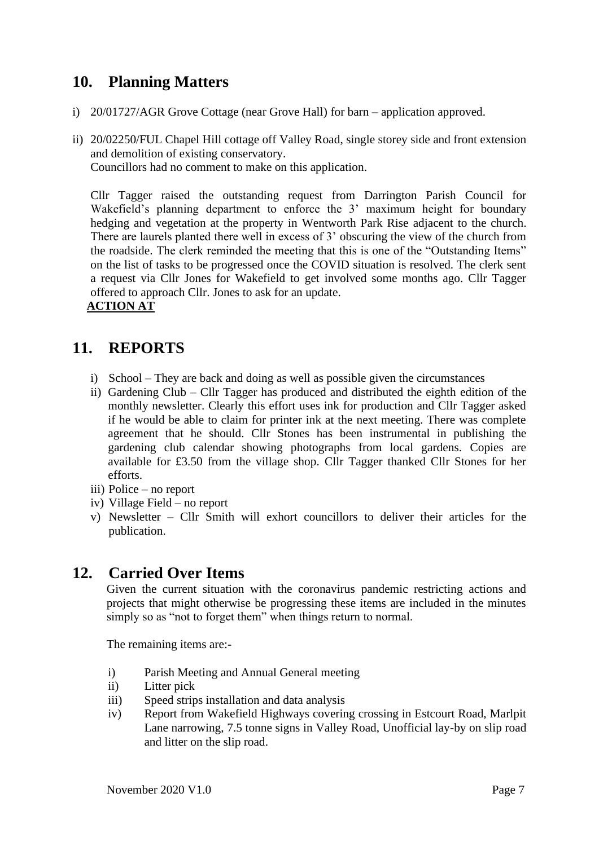## **10. Planning Matters**

- i) 20/01727/AGR Grove Cottage (near Grove Hall) for barn application approved.
- ii) 20/02250/FUL Chapel Hill cottage off Valley Road, single storey side and front extension and demolition of existing conservatory. Councillors had no comment to make on this application.

Cllr Tagger raised the outstanding request from Darrington Parish Council for Wakefield's planning department to enforce the 3' maximum height for boundary hedging and vegetation at the property in Wentworth Park Rise adjacent to the church. There are laurels planted there well in excess of 3' obscuring the view of the church from the roadside. The clerk reminded the meeting that this is one of the "Outstanding Items" on the list of tasks to be progressed once the COVID situation is resolved. The clerk sent a request via Cllr Jones for Wakefield to get involved some months ago. Cllr Tagger offered to approach Cllr. Jones to ask for an update.

### **ACTION AT**

## **11. REPORTS**

- i) School They are back and doing as well as possible given the circumstances
- ii) Gardening Club Cllr Tagger has produced and distributed the eighth edition of the monthly newsletter. Clearly this effort uses ink for production and Cllr Tagger asked if he would be able to claim for printer ink at the next meeting. There was complete agreement that he should. Cllr Stones has been instrumental in publishing the gardening club calendar showing photographs from local gardens. Copies are available for £3.50 from the village shop. Cllr Tagger thanked Cllr Stones for her efforts.
- iii) Police no report
- iv) Village Field no report
- v) Newsletter Cllr Smith will exhort councillors to deliver their articles for the publication.

## **12. Carried Over Items**

Given the current situation with the coronavirus pandemic restricting actions and projects that might otherwise be progressing these items are included in the minutes simply so as "not to forget them" when things return to normal.

The remaining items are:-

- i) Parish Meeting and Annual General meeting
- ii) Litter pick
- iii) Speed strips installation and data analysis
- iv) Report from Wakefield Highways covering crossing in Estcourt Road, Marlpit Lane narrowing, 7.5 tonne signs in Valley Road, Unofficial lay-by on slip road and litter on the slip road.